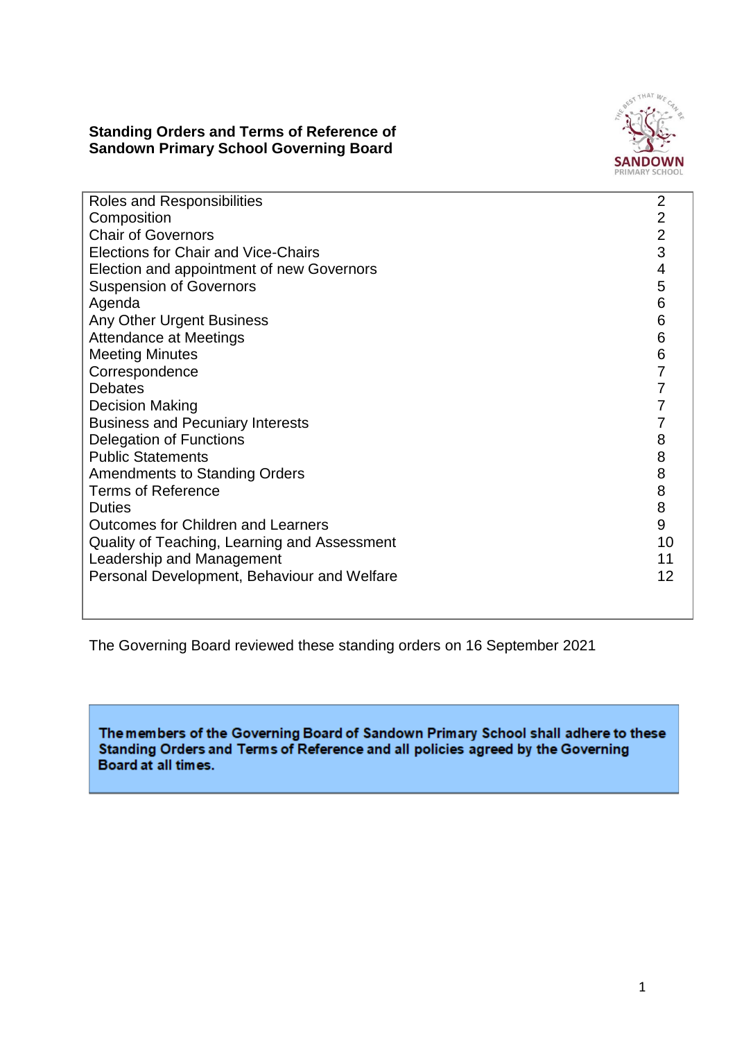### **Standing Orders and Terms of Reference of Sandown Primary School Governing Board**



| Roles and Responsibilities                   | $\overline{2}$ |
|----------------------------------------------|----------------|
| Composition                                  | $\overline{2}$ |
| <b>Chair of Governors</b>                    | $\overline{2}$ |
| Elections for Chair and Vice-Chairs          | 3              |
| Election and appointment of new Governors    | 4              |
| <b>Suspension of Governors</b>               | 5              |
| Agenda                                       | 6              |
| Any Other Urgent Business                    | 6              |
| <b>Attendance at Meetings</b>                | 6              |
| <b>Meeting Minutes</b>                       | 6              |
| Correspondence                               | 7              |
| <b>Debates</b>                               |                |
| <b>Decision Making</b>                       |                |
| <b>Business and Pecuniary Interests</b>      |                |
| Delegation of Functions                      | 8              |
| <b>Public Statements</b>                     | 8              |
| <b>Amendments to Standing Orders</b>         | 8              |
| <b>Terms of Reference</b>                    | 8              |
| <b>Duties</b>                                | 8              |
| <b>Outcomes for Children and Learners</b>    | 9              |
| Quality of Teaching, Learning and Assessment | 10             |
| Leadership and Management                    | 11             |
| Personal Development, Behaviour and Welfare  | 12             |
|                                              |                |

The Governing Board reviewed these standing orders on 16 September 2021

The members of the Governing Board of Sandown Primary School shall adhere to these Standing Orders and Terms of Reference and all policies agreed by the Governing Board at all times.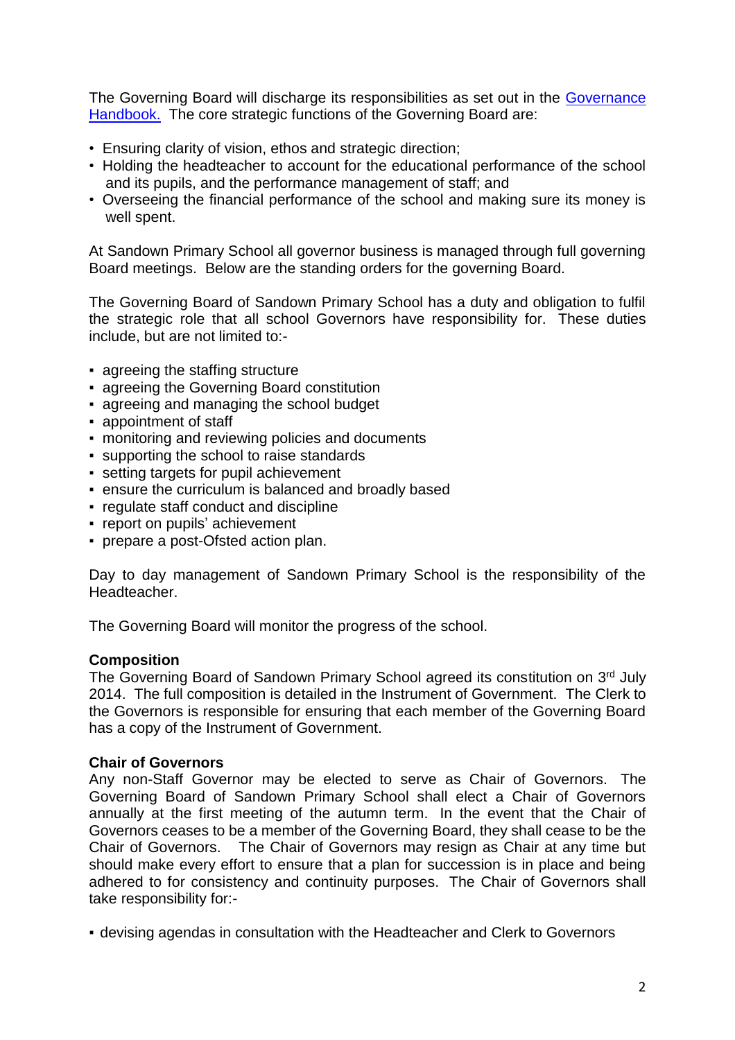The Governing Board will discharge its responsibilities as set out in the Governance [Handbook.](https://www.gov.uk/government/uploads/system/uploads/attachment_data/file/481147/Governance_handbook_November_2015.pdf) The core strategic functions of the Governing Board are:

- Ensuring clarity of vision, ethos and strategic direction;
- Holding the headteacher to account for the educational performance of the school and its pupils, and the performance management of staff; and
- Overseeing the financial performance of the school and making sure its money is well spent.

At Sandown Primary School all governor business is managed through full governing Board meetings. Below are the standing orders for the governing Board.

The Governing Board of Sandown Primary School has a duty and obligation to fulfil the strategic role that all school Governors have responsibility for. These duties include, but are not limited to:-

- agreeing the staffing structure
- agreeing the Governing Board constitution
- agreeing and managing the school budget
- appointment of staff
- **monitoring and reviewing policies and documents**
- supporting the school to raise standards
- setting targets for pupil achievement
- ensure the curriculum is balanced and broadly based
- regulate staff conduct and discipline
- report on pupils' achievement
- prepare a post-Ofsted action plan.

Day to day management of Sandown Primary School is the responsibility of the Headteacher.

The Governing Board will monitor the progress of the school.

#### **Composition**

The Governing Board of Sandown Primary School agreed its constitution on 3rd July 2014. The full composition is detailed in the Instrument of Government. The Clerk to the Governors is responsible for ensuring that each member of the Governing Board has a copy of the Instrument of Government.

#### **Chair of Governors**

Any non-Staff Governor may be elected to serve as Chair of Governors. The Governing Board of Sandown Primary School shall elect a Chair of Governors annually at the first meeting of the autumn term. In the event that the Chair of Governors ceases to be a member of the Governing Board, they shall cease to be the Chair of Governors. The Chair of Governors may resign as Chair at any time but should make every effort to ensure that a plan for succession is in place and being adhered to for consistency and continuity purposes. The Chair of Governors shall take responsibility for:-

▪ devising agendas in consultation with the Headteacher and Clerk to Governors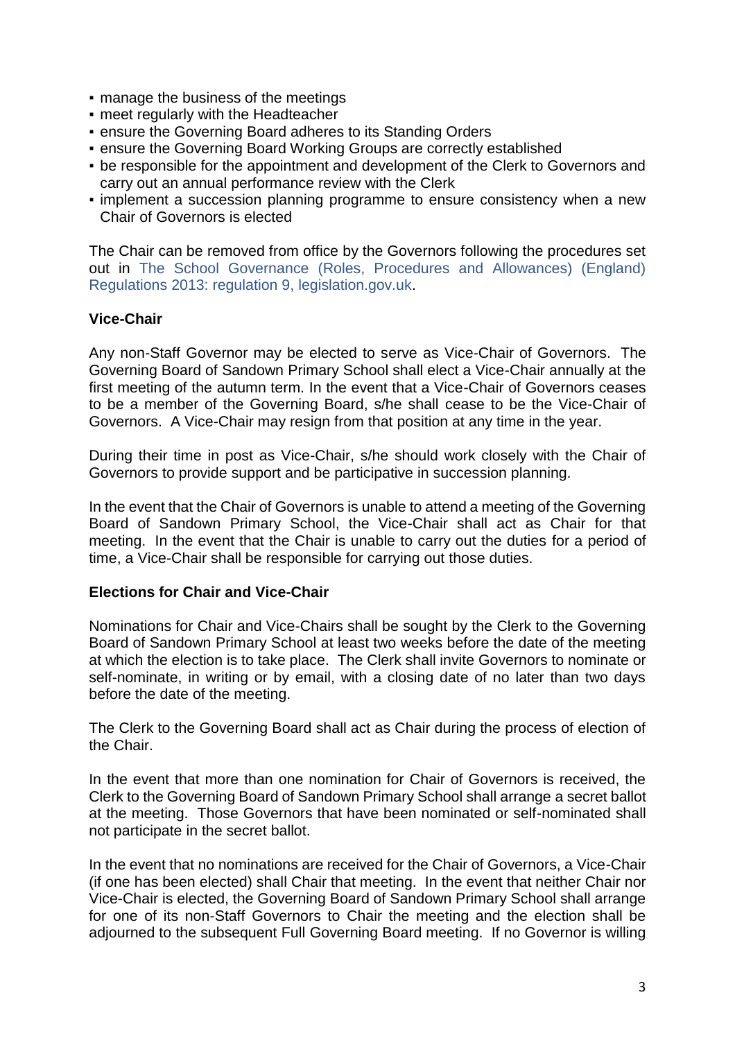- manage the business of the meetings
- **meet regularly with the Headteacher**
- **ensure the Governing Board adheres to its Standing Orders**
- ensure the Governing Board Working Groups are correctly established
- be responsible for the appointment and development of the Clerk to Governors and carry out an annual performance review with the Clerk
- implement a succession planning programme to ensure consistency when a new Chair of Governors is elected

The Chair can be removed from office by the Governors following the procedures set out in [The School Governance \(Roles, Procedures and Allowances\) \(England\)](https://schoolgovernors.thekeysupport.com/the-governing-body/roles-on-the-governing-body/governing-body-chairs/resolvelink?id=13921)  [Regulations 2013: regulation 9, legislation.gov.uk.](https://schoolgovernors.thekeysupport.com/the-governing-body/roles-on-the-governing-body/governing-body-chairs/resolvelink?id=13921)

### **Vice-Chair**

Any non-Staff Governor may be elected to serve as Vice-Chair of Governors. The Governing Board of Sandown Primary School shall elect a Vice-Chair annually at the first meeting of the autumn term. In the event that a Vice-Chair of Governors ceases to be a member of the Governing Board, s/he shall cease to be the Vice-Chair of Governors. A Vice-Chair may resign from that position at any time in the year.

During their time in post as Vice-Chair, s/he should work closely with the Chair of Governors to provide support and be participative in succession planning.

In the event that the Chair of Governors is unable to attend a meeting of the Governing Board of Sandown Primary School, the Vice-Chair shall act as Chair for that meeting. In the event that the Chair is unable to carry out the duties for a period of time, a Vice-Chair shall be responsible for carrying out those duties.

#### **Elections for Chair and Vice-Chair**

Nominations for Chair and Vice-Chairs shall be sought by the Clerk to the Governing Board of Sandown Primary School at least two weeks before the date of the meeting at which the election is to take place. The Clerk shall invite Governors to nominate or self-nominate, in writing or by email, with a closing date of no later than two days before the date of the meeting.

The Clerk to the Governing Board shall act as Chair during the process of election of the Chair.

In the event that more than one nomination for Chair of Governors is received, the Clerk to the Governing Board of Sandown Primary School shall arrange a secret ballot at the meeting. Those Governors that have been nominated or self-nominated shall not participate in the secret ballot.

In the event that no nominations are received for the Chair of Governors, a Vice-Chair (if one has been elected) shall Chair that meeting. In the event that neither Chair nor Vice-Chair is elected, the Governing Board of Sandown Primary School shall arrange for one of its non-Staff Governors to Chair the meeting and the election shall be adjourned to the subsequent Full Governing Board meeting. If no Governor is willing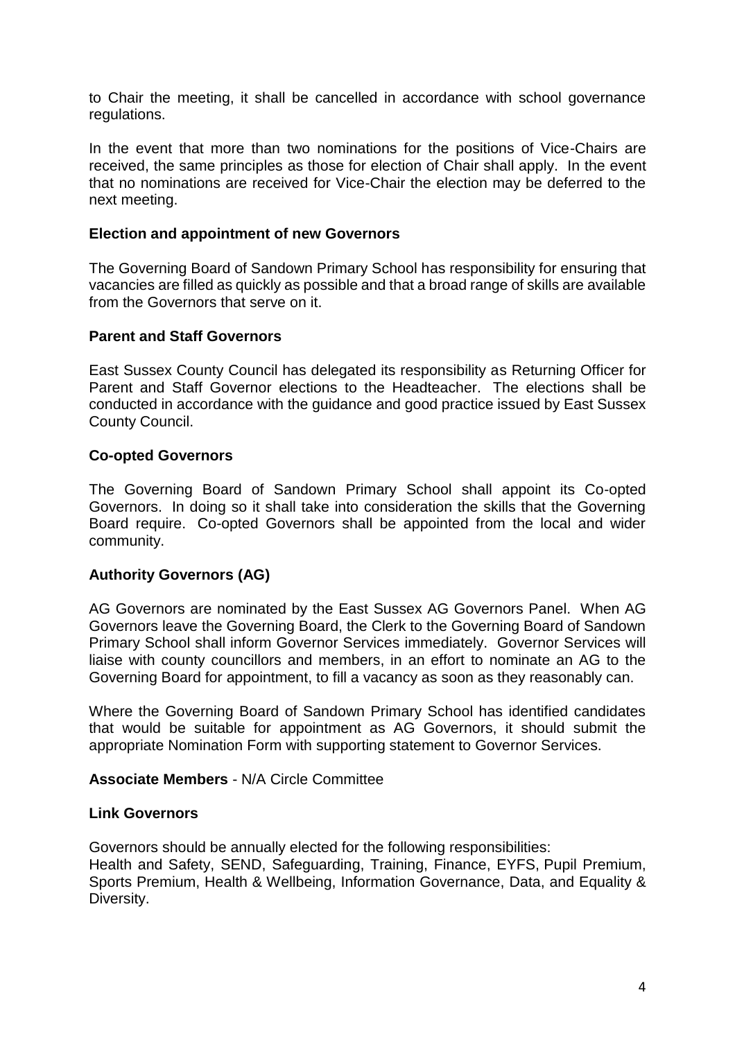to Chair the meeting, it shall be cancelled in accordance with school governance regulations.

In the event that more than two nominations for the positions of Vice-Chairs are received, the same principles as those for election of Chair shall apply. In the event that no nominations are received for Vice-Chair the election may be deferred to the next meeting.

#### **Election and appointment of new Governors**

The Governing Board of Sandown Primary School has responsibility for ensuring that vacancies are filled as quickly as possible and that a broad range of skills are available from the Governors that serve on it.

#### **Parent and Staff Governors**

East Sussex County Council has delegated its responsibility as Returning Officer for Parent and Staff Governor elections to the Headteacher. The elections shall be conducted in accordance with the guidance and good practice issued by East Sussex County Council.

#### **Co-opted Governors**

The Governing Board of Sandown Primary School shall appoint its Co-opted Governors. In doing so it shall take into consideration the skills that the Governing Board require. Co-opted Governors shall be appointed from the local and wider community.

### **Authority Governors (AG)**

AG Governors are nominated by the East Sussex AG Governors Panel. When AG Governors leave the Governing Board, the Clerk to the Governing Board of Sandown Primary School shall inform Governor Services immediately. Governor Services will liaise with county councillors and members, in an effort to nominate an AG to the Governing Board for appointment, to fill a vacancy as soon as they reasonably can.

Where the Governing Board of Sandown Primary School has identified candidates that would be suitable for appointment as AG Governors, it should submit the appropriate Nomination Form with supporting statement to Governor Services.

## **Associate Members** - N/A Circle Committee

#### **Link Governors**

Governors should be annually elected for the following responsibilities:

Health and Safety, SEND, Safeguarding, Training, Finance, EYFS, Pupil Premium, Sports Premium, Health & Wellbeing, Information Governance, Data, and Equality & Diversity.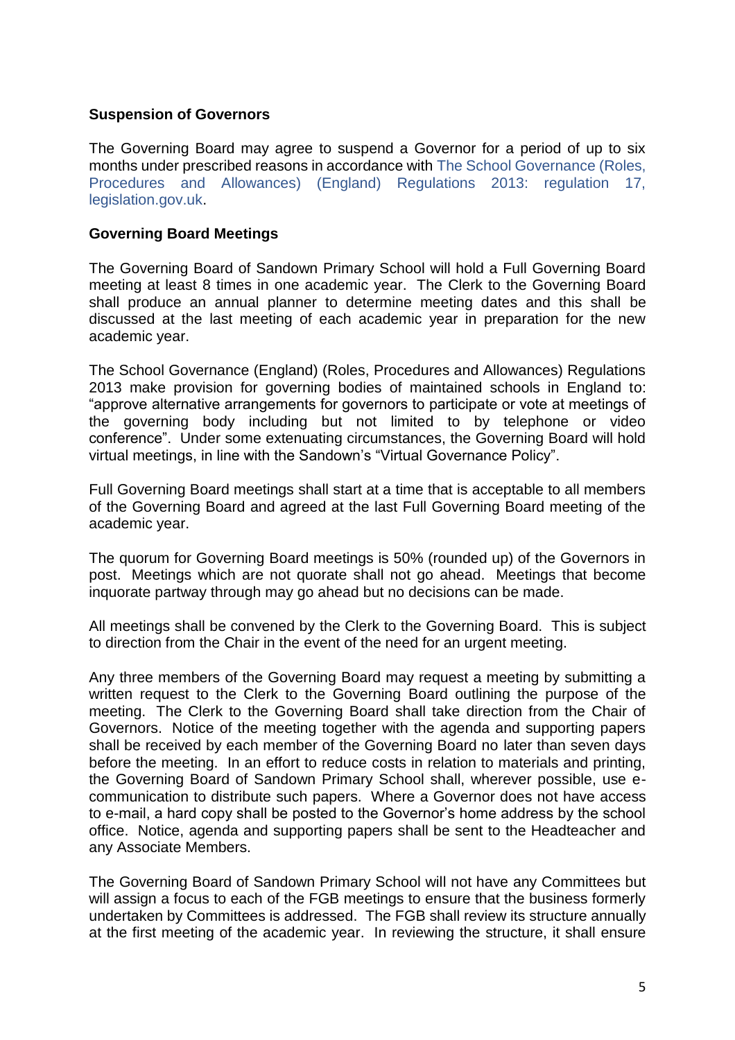### **Suspension of Governors**

The Governing Board may agree to suspend a Governor for a period of up to six months under prescribed reasons in accordance with [The School Governance \(Roles,](https://schoolgovernors.thekeysupport.com/the-governing-body/constitution-and-membership/eligibility-removal-disqualification/resolvelink?id=380)  [Procedures and Allowances\) \(England\) Regulations 2013: regulation 17,](https://schoolgovernors.thekeysupport.com/the-governing-body/constitution-and-membership/eligibility-removal-disqualification/resolvelink?id=380)  [legislation.gov.uk.](https://schoolgovernors.thekeysupport.com/the-governing-body/constitution-and-membership/eligibility-removal-disqualification/resolvelink?id=380)

#### **Governing Board Meetings**

The Governing Board of Sandown Primary School will hold a Full Governing Board meeting at least 8 times in one academic year. The Clerk to the Governing Board shall produce an annual planner to determine meeting dates and this shall be discussed at the last meeting of each academic year in preparation for the new academic year.

The School Governance (England) (Roles, Procedures and Allowances) Regulations 2013 make provision for governing bodies of maintained schools in England to: "approve alternative arrangements for governors to participate or vote at meetings of the governing body including but not limited to by telephone or video conference". Under some extenuating circumstances, the Governing Board will hold virtual meetings, in line with the Sandown's "Virtual Governance Policy".

Full Governing Board meetings shall start at a time that is acceptable to all members of the Governing Board and agreed at the last Full Governing Board meeting of the academic year.

The quorum for Governing Board meetings is 50% (rounded up) of the Governors in post. Meetings which are not quorate shall not go ahead. Meetings that become inquorate partway through may go ahead but no decisions can be made.

All meetings shall be convened by the Clerk to the Governing Board. This is subject to direction from the Chair in the event of the need for an urgent meeting.

Any three members of the Governing Board may request a meeting by submitting a written request to the Clerk to the Governing Board outlining the purpose of the meeting. The Clerk to the Governing Board shall take direction from the Chair of Governors. Notice of the meeting together with the agenda and supporting papers shall be received by each member of the Governing Board no later than seven days before the meeting. In an effort to reduce costs in relation to materials and printing, the Governing Board of Sandown Primary School shall, wherever possible, use ecommunication to distribute such papers. Where a Governor does not have access to e-mail, a hard copy shall be posted to the Governor's home address by the school office. Notice, agenda and supporting papers shall be sent to the Headteacher and any Associate Members.

The Governing Board of Sandown Primary School will not have any Committees but will assign a focus to each of the FGB meetings to ensure that the business formerly undertaken by Committees is addressed. The FGB shall review its structure annually at the first meeting of the academic year. In reviewing the structure, it shall ensure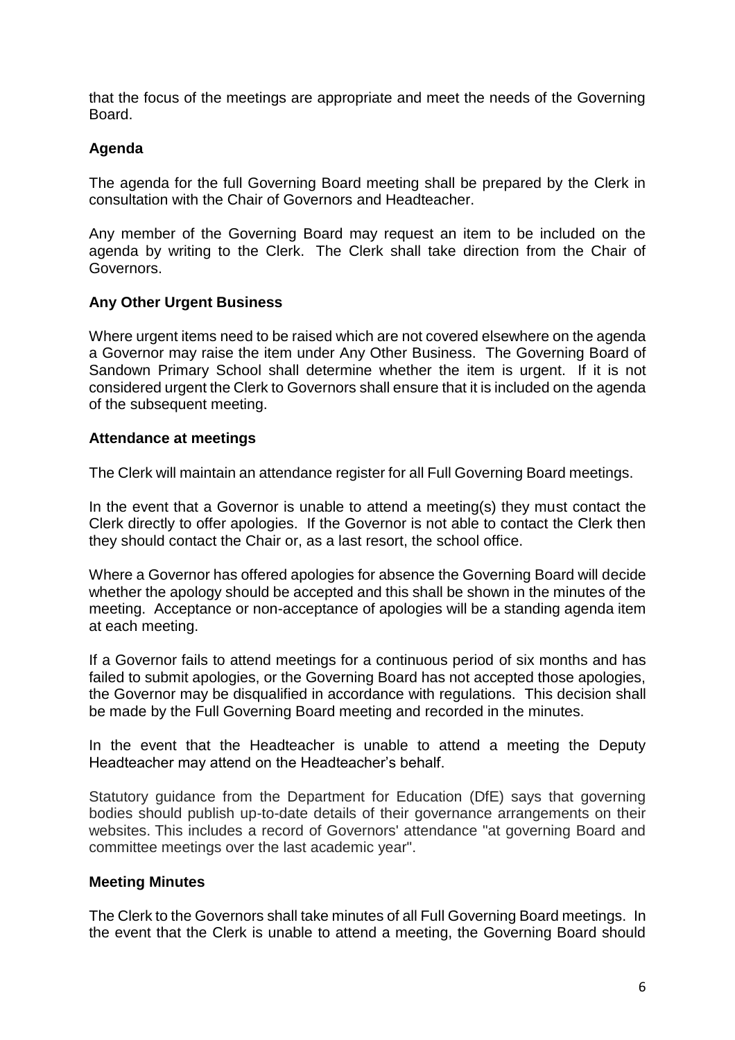that the focus of the meetings are appropriate and meet the needs of the Governing Board.

# **Agenda**

The agenda for the full Governing Board meeting shall be prepared by the Clerk in consultation with the Chair of Governors and Headteacher.

Any member of the Governing Board may request an item to be included on the agenda by writing to the Clerk. The Clerk shall take direction from the Chair of Governors.

## **Any Other Urgent Business**

Where urgent items need to be raised which are not covered elsewhere on the agenda a Governor may raise the item under Any Other Business. The Governing Board of Sandown Primary School shall determine whether the item is urgent. If it is not considered urgent the Clerk to Governors shall ensure that it is included on the agenda of the subsequent meeting.

## **Attendance at meetings**

The Clerk will maintain an attendance register for all Full Governing Board meetings.

In the event that a Governor is unable to attend a meeting(s) they must contact the Clerk directly to offer apologies. If the Governor is not able to contact the Clerk then they should contact the Chair or, as a last resort, the school office.

Where a Governor has offered apologies for absence the Governing Board will decide whether the apology should be accepted and this shall be shown in the minutes of the meeting. Acceptance or non-acceptance of apologies will be a standing agenda item at each meeting.

If a Governor fails to attend meetings for a continuous period of six months and has failed to submit apologies, or the Governing Board has not accepted those apologies, the Governor may be disqualified in accordance with regulations. This decision shall be made by the Full Governing Board meeting and recorded in the minutes.

In the event that the Headteacher is unable to attend a meeting the Deputy Headteacher may attend on the Headteacher's behalf.

Statutory guidance from the Department for Education (DfE) says that governing bodies should publish up-to-date details of their governance arrangements on their websites. This includes a record of Governors' attendance "at governing Board and committee meetings over the last academic year".

### **Meeting Minutes**

The Clerk to the Governors shall take minutes of all Full Governing Board meetings. In the event that the Clerk is unable to attend a meeting, the Governing Board should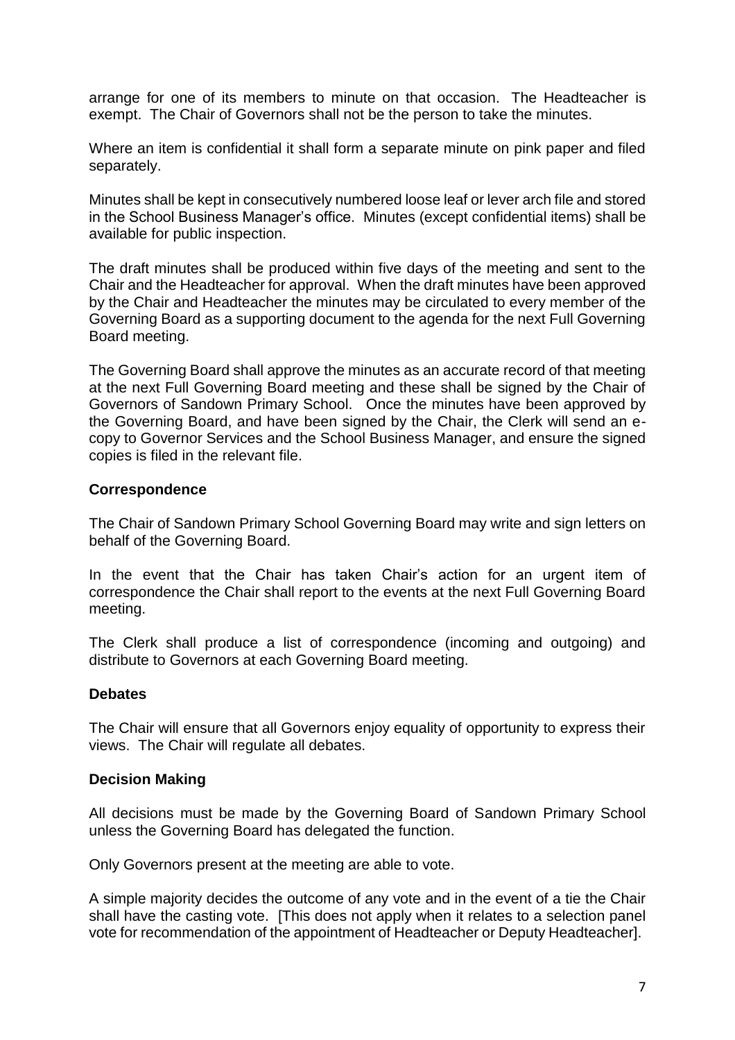arrange for one of its members to minute on that occasion. The Headteacher is exempt. The Chair of Governors shall not be the person to take the minutes.

Where an item is confidential it shall form a separate minute on pink paper and filed separately.

Minutes shall be kept in consecutively numbered loose leaf or lever arch file and stored in the School Business Manager's office. Minutes (except confidential items) shall be available for public inspection.

The draft minutes shall be produced within five days of the meeting and sent to the Chair and the Headteacher for approval. When the draft minutes have been approved by the Chair and Headteacher the minutes may be circulated to every member of the Governing Board as a supporting document to the agenda for the next Full Governing Board meeting.

The Governing Board shall approve the minutes as an accurate record of that meeting at the next Full Governing Board meeting and these shall be signed by the Chair of Governors of Sandown Primary School. Once the minutes have been approved by the Governing Board, and have been signed by the Chair, the Clerk will send an ecopy to Governor Services and the School Business Manager, and ensure the signed copies is filed in the relevant file.

### **Correspondence**

The Chair of Sandown Primary School Governing Board may write and sign letters on behalf of the Governing Board.

In the event that the Chair has taken Chair's action for an urgent item of correspondence the Chair shall report to the events at the next Full Governing Board meeting.

The Clerk shall produce a list of correspondence (incoming and outgoing) and distribute to Governors at each Governing Board meeting.

### **Debates**

The Chair will ensure that all Governors enjoy equality of opportunity to express their views. The Chair will regulate all debates.

### **Decision Making**

All decisions must be made by the Governing Board of Sandown Primary School unless the Governing Board has delegated the function.

Only Governors present at the meeting are able to vote.

A simple majority decides the outcome of any vote and in the event of a tie the Chair shall have the casting vote. [This does not apply when it relates to a selection panel vote for recommendation of the appointment of Headteacher or Deputy Headteacher].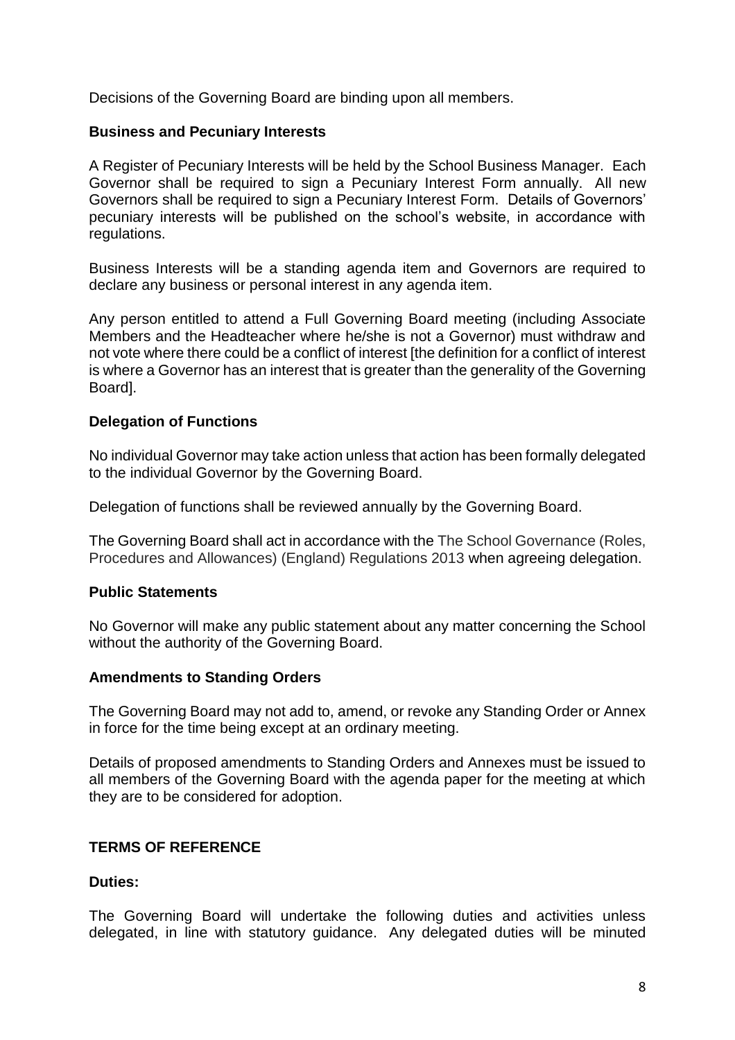Decisions of the Governing Board are binding upon all members.

#### **Business and Pecuniary Interests**

A Register of Pecuniary Interests will be held by the School Business Manager. Each Governor shall be required to sign a Pecuniary Interest Form annually. All new Governors shall be required to sign a Pecuniary Interest Form. Details of Governors' pecuniary interests will be published on the school's website, in accordance with regulations.

Business Interests will be a standing agenda item and Governors are required to declare any business or personal interest in any agenda item.

Any person entitled to attend a Full Governing Board meeting (including Associate Members and the Headteacher where he/she is not a Governor) must withdraw and not vote where there could be a conflict of interest [the definition for a conflict of interest is where a Governor has an interest that is greater than the generality of the Governing Board].

### **Delegation of Functions**

No individual Governor may take action unless that action has been formally delegated to the individual Governor by the Governing Board.

Delegation of functions shall be reviewed annually by the Governing Board.

The Governing Board shall act in accordance with the The School Governance (Roles, Procedures and Allowances) (England) Regulations 2013 when agreeing delegation.

### **Public Statements**

No Governor will make any public statement about any matter concerning the School without the authority of the Governing Board.

#### **Amendments to Standing Orders**

The Governing Board may not add to, amend, or revoke any Standing Order or Annex in force for the time being except at an ordinary meeting.

Details of proposed amendments to Standing Orders and Annexes must be issued to all members of the Governing Board with the agenda paper for the meeting at which they are to be considered for adoption.

## **TERMS OF REFERENCE**

#### **Duties:**

The Governing Board will undertake the following duties and activities unless delegated, in line with statutory guidance. Any delegated duties will be minuted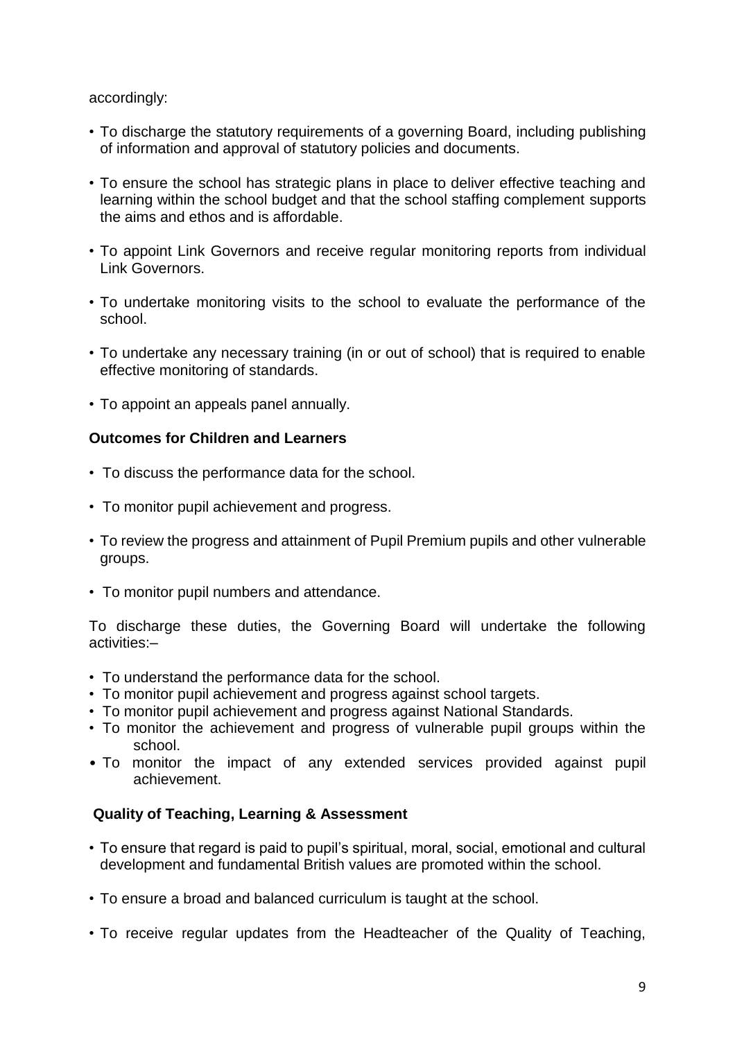## accordingly:

- To discharge the statutory requirements of a governing Board, including publishing of information and approval of statutory policies and documents.
- To ensure the school has strategic plans in place to deliver effective teaching and learning within the school budget and that the school staffing complement supports the aims and ethos and is affordable.
- To appoint Link Governors and receive regular monitoring reports from individual Link Governors.
- To undertake monitoring visits to the school to evaluate the performance of the school.
- To undertake any necessary training (in or out of school) that is required to enable effective monitoring of standards.
- To appoint an appeals panel annually.

## **Outcomes for Children and Learners**

- To discuss the performance data for the school.
- To monitor pupil achievement and progress.
- To review the progress and attainment of Pupil Premium pupils and other vulnerable groups.
- To monitor pupil numbers and attendance.

To discharge these duties, the Governing Board will undertake the following activities:–

- To understand the performance data for the school.
- To monitor pupil achievement and progress against school targets.
- To monitor pupil achievement and progress against National Standards.
- To monitor the achievement and progress of vulnerable pupil groups within the school.
- To monitor the impact of any extended services provided against pupil achievement.

# **Quality of Teaching, Learning & Assessment**

- To ensure that regard is paid to pupil's spiritual, moral, social, emotional and cultural development and fundamental British values are promoted within the school.
- To ensure a broad and balanced curriculum is taught at the school.
- To receive regular updates from the Headteacher of the Quality of Teaching,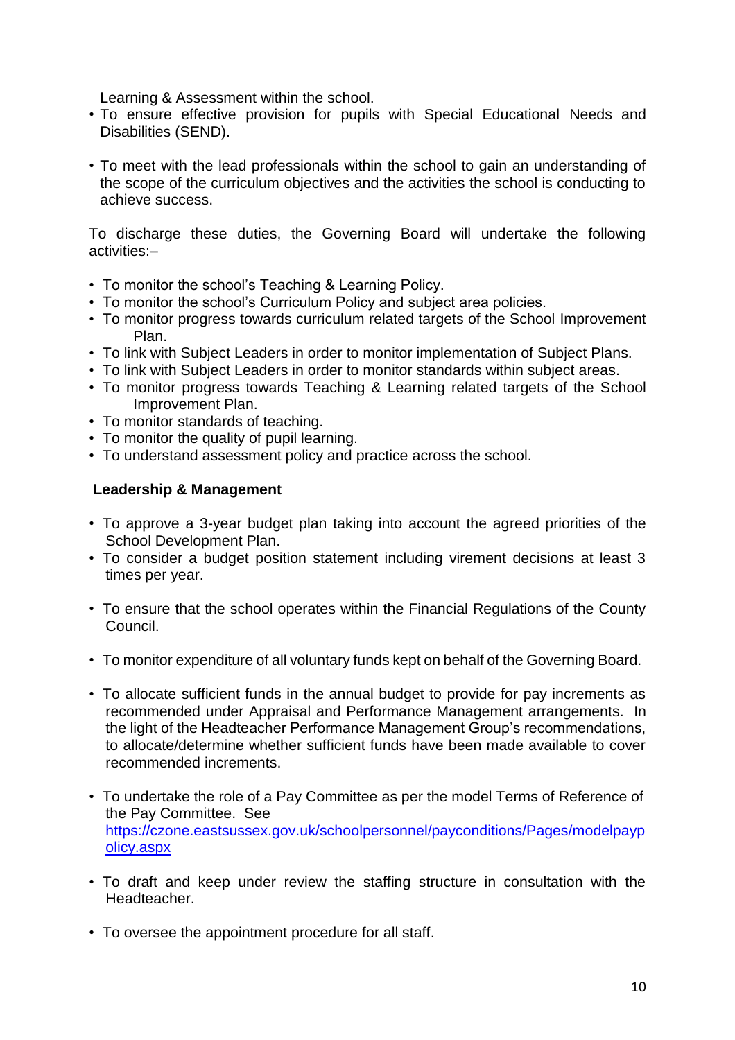Learning & Assessment within the school.

- To ensure effective provision for pupils with Special Educational Needs and Disabilities (SEND).
- To meet with the lead professionals within the school to gain an understanding of the scope of the curriculum objectives and the activities the school is conducting to achieve success.

To discharge these duties, the Governing Board will undertake the following activities:–

- To monitor the school's Teaching & Learning Policy.
- To monitor the school's Curriculum Policy and subject area policies.
- To monitor progress towards curriculum related targets of the School Improvement Plan.
- To link with Subject Leaders in order to monitor implementation of Subject Plans.
- To link with Subject Leaders in order to monitor standards within subject areas.
- To monitor progress towards Teaching & Learning related targets of the School Improvement Plan.
- To monitor standards of teaching.
- To monitor the quality of pupil learning.
- To understand assessment policy and practice across the school.

## **Leadership & Management**

- To approve a 3-year budget plan taking into account the agreed priorities of the School Development Plan.
- To consider a budget position statement including virement decisions at least 3 times per year.
- To ensure that the school operates within the Financial Regulations of the County Council.
- To monitor expenditure of all voluntary funds kept on behalf of the Governing Board.
- To allocate sufficient funds in the annual budget to provide for pay increments as recommended under Appraisal and Performance Management arrangements. In the light of the Headteacher Performance Management Group's recommendations, to allocate/determine whether sufficient funds have been made available to cover recommended increments.
- To undertake the role of a Pay Committee as per the model Terms of Reference of the Pay Committee. See [https://czone.eastsussex.gov.uk/schoolpersonnel/payconditions/Pages/modelpayp](https://czone.eastsussex.gov.uk/schoolpersonnel/payconditions/Pages/modelpaypolicy.aspx) [olicy.aspx](https://czone.eastsussex.gov.uk/schoolpersonnel/payconditions/Pages/modelpaypolicy.aspx)
- To draft and keep under review the staffing structure in consultation with the Headteacher.
- To oversee the appointment procedure for all staff.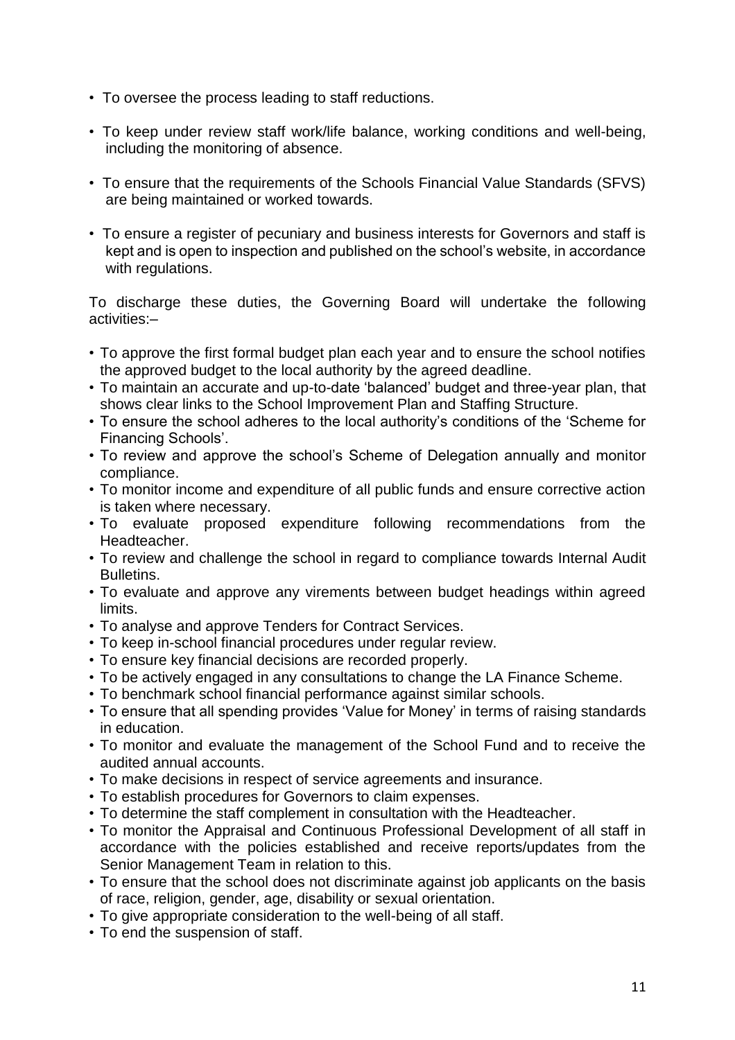- To oversee the process leading to staff reductions.
- To keep under review staff work/life balance, working conditions and well-being, including the monitoring of absence.
- To ensure that the requirements of the Schools Financial Value Standards (SFVS) are being maintained or worked towards.
- To ensure a register of pecuniary and business interests for Governors and staff is kept and is open to inspection and published on the school's website, in accordance with regulations.

To discharge these duties, the Governing Board will undertake the following activities:–

- To approve the first formal budget plan each year and to ensure the school notifies the approved budget to the local authority by the agreed deadline.
- To maintain an accurate and up-to-date 'balanced' budget and three-year plan, that shows clear links to the School Improvement Plan and Staffing Structure.
- To ensure the school adheres to the local authority's conditions of the 'Scheme for Financing Schools'.
- To review and approve the school's Scheme of Delegation annually and monitor compliance.
- To monitor income and expenditure of all public funds and ensure corrective action is taken where necessary.
- To evaluate proposed expenditure following recommendations from the Headteacher.
- To review and challenge the school in regard to compliance towards Internal Audit Bulletins.
- To evaluate and approve any virements between budget headings within agreed limits.
- To analyse and approve Tenders for Contract Services.
- To keep in-school financial procedures under regular review.
- To ensure key financial decisions are recorded properly.
- To be actively engaged in any consultations to change the LA Finance Scheme.
- To benchmark school financial performance against similar schools.
- To ensure that all spending provides 'Value for Money' in terms of raising standards in education.
- To monitor and evaluate the management of the School Fund and to receive the audited annual accounts.
- To make decisions in respect of service agreements and insurance.
- To establish procedures for Governors to claim expenses.
- To determine the staff complement in consultation with the Headteacher.
- To monitor the Appraisal and Continuous Professional Development of all staff in accordance with the policies established and receive reports/updates from the Senior Management Team in relation to this.
- To ensure that the school does not discriminate against job applicants on the basis of race, religion, gender, age, disability or sexual orientation.
- To give appropriate consideration to the well-being of all staff.
- To end the suspension of staff.